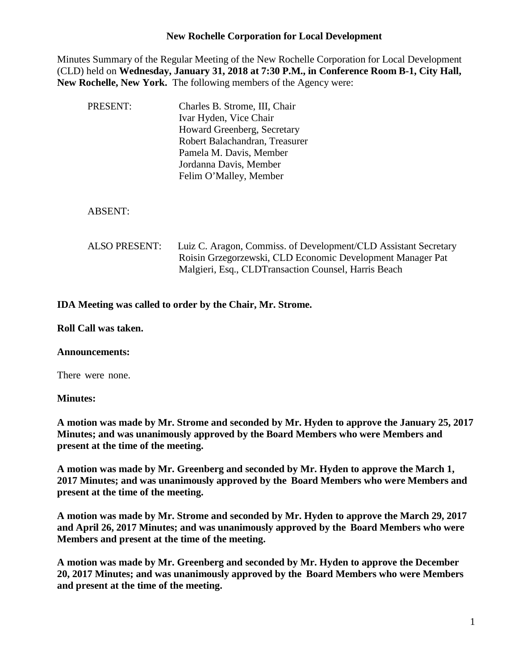## **New Rochelle Corporation for Local Development**

Minutes Summary of the Regular Meeting of the New Rochelle Corporation for Local Development (CLD) held on **Wednesday, January 31, 2018 at 7:30 P.M., in Conference Room B-1, City Hall, New Rochelle, New York.** The following members of the Agency were:

| PRESENT:             | Charles B. Strome, III, Chair<br>Ivar Hyden, Vice Chair<br>Howard Greenberg, Secretary<br>Robert Balachandran, Treasurer<br>Pamela M. Davis, Member<br>Jordanna Davis, Member<br>Felim O'Malley, Member |
|----------------------|---------------------------------------------------------------------------------------------------------------------------------------------------------------------------------------------------------|
| <b>ABSENT:</b>       |                                                                                                                                                                                                         |
| <b>ALSO PRESENT:</b> | Luiz C. Aragon, Commiss. of Development/CLD Assistant Secretary<br>Roisin Grzegorzewski, CLD Economic Development Manager Pat<br>Malgieri, Esq., CLDTransaction Counsel, Harris Beach                   |

# **IDA Meeting was called to order by the Chair, Mr. Strome.**

## **Roll Call was taken.**

## **Announcements:**

There were none.

## **Minutes:**

**A motion was made by Mr. Strome and seconded by Mr. Hyden to approve the January 25, 2017 Minutes; and was unanimously approved by the Board Members who were Members and present at the time of the meeting.**

**A motion was made by Mr. Greenberg and seconded by Mr. Hyden to approve the March 1, 2017 Minutes; and was unanimously approved by the Board Members who were Members and present at the time of the meeting.**

**A motion was made by Mr. Strome and seconded by Mr. Hyden to approve the March 29, 2017 and April 26, 2017 Minutes; and was unanimously approved by the Board Members who were Members and present at the time of the meeting.**

**A motion was made by Mr. Greenberg and seconded by Mr. Hyden to approve the December 20, 2017 Minutes; and was unanimously approved by the Board Members who were Members and present at the time of the meeting.**